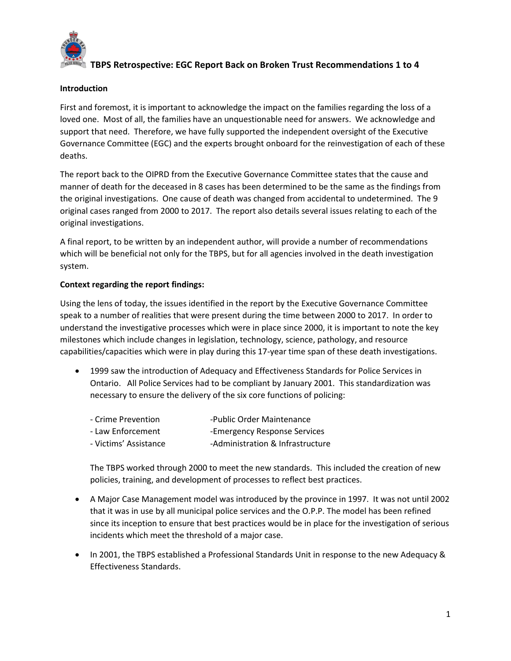

#### Introduction

First and foremost, it is important to acknowledge the impact on the families regarding the loss of a loved one. Most of all, the families have an unquestionable need for answers. We acknowledge and support that need. Therefore, we have fully supported the independent oversight of the Executive Governance Committee (EGC) and the experts brought onboard for the reinvestigation of each of these deaths.

The report back to the OIPRD from the Executive Governance Committee states that the cause and manner of death for the deceased in 8 cases has been determined to be the same as the findings from the original investigations. One cause of death was changed from accidental to undetermined. The 9 original cases ranged from 2000 to 2017. The report also details several issues relating to each of the original investigations.

A final report, to be written by an independent author, will provide a number of recommendations which will be beneficial not only for the TBPS, but for all agencies involved in the death investigation system.

### Context regarding the report findings:

Using the lens of today, the issues identified in the report by the Executive Governance Committee speak to a number of realities that were present during the time between 2000 to 2017. In order to understand the investigative processes which were in place since 2000, it is important to note the key milestones which include changes in legislation, technology, science, pathology, and resource capabilities/capacities which were in play during this 17-year time span of these death investigations.

 1999 saw the introduction of Adequacy and Effectiveness Standards for Police Services in Ontario. All Police Services had to be compliant by January 2001. This standardization was necessary to ensure the delivery of the six core functions of policing:

| - Crime Prevention    | -Public Order Maintenance        |
|-----------------------|----------------------------------|
| - Law Enforcement     | -Emergency Response Services     |
| - Victims' Assistance | -Administration & Infrastructure |

The TBPS worked through 2000 to meet the new standards. This included the creation of new policies, training, and development of processes to reflect best practices.

- A Major Case Management model was introduced by the province in 1997. It was not until 2002 that it was in use by all municipal police services and the O.P.P. The model has been refined since its inception to ensure that best practices would be in place for the investigation of serious incidents which meet the threshold of a major case.
- In 2001, the TBPS established a Professional Standards Unit in response to the new Adequacy & Effectiveness Standards.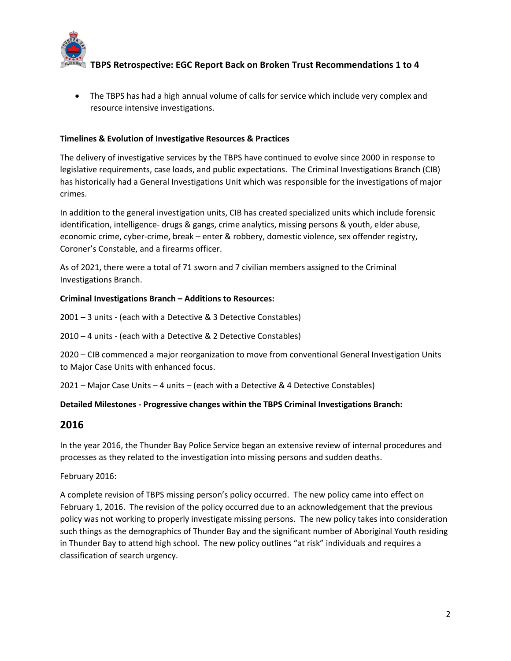

• The TBPS has had a high annual volume of calls for service which include very complex and resource intensive investigations.

### Timelines & Evolution of Investigative Resources & Practices

The delivery of investigative services by the TBPS have continued to evolve since 2000 in response to legislative requirements, case loads, and public expectations. The Criminal Investigations Branch (CIB) has historically had a General Investigations Unit which was responsible for the investigations of major crimes.

In addition to the general investigation units, CIB has created specialized units which include forensic identification, intelligence- drugs & gangs, crime analytics, missing persons & youth, elder abuse, economic crime, cyber-crime, break – enter & robbery, domestic violence, sex offender registry, Coroner's Constable, and a firearms officer.

As of 2021, there were a total of 71 sworn and 7 civilian members assigned to the Criminal Investigations Branch.

#### Criminal Investigations Branch – Additions to Resources:

2001 – 3 units - (each with a Detective & 3 Detective Constables)

2010 – 4 units - (each with a Detective & 2 Detective Constables)

2020 – CIB commenced a major reorganization to move from conventional General Investigation Units to Major Case Units with enhanced focus.

2021 – Major Case Units – 4 units – (each with a Detective & 4 Detective Constables)

#### Detailed Milestones - Progressive changes within the TBPS Criminal Investigations Branch:

### 2016

In the year 2016, the Thunder Bay Police Service began an extensive review of internal procedures and processes as they related to the investigation into missing persons and sudden deaths.

February 2016:

A complete revision of TBPS missing person's policy occurred. The new policy came into effect on February 1, 2016. The revision of the policy occurred due to an acknowledgement that the previous policy was not working to properly investigate missing persons. The new policy takes into consideration such things as the demographics of Thunder Bay and the significant number of Aboriginal Youth residing in Thunder Bay to attend high school. The new policy outlines "at risk" individuals and requires a classification of search urgency.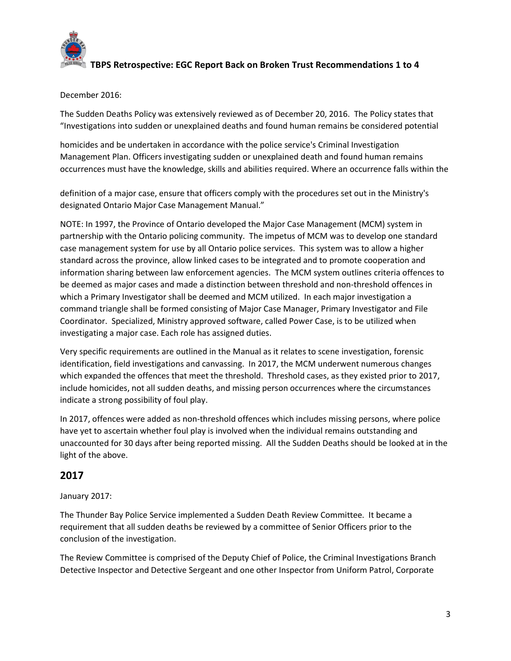

December 2016:

The Sudden Deaths Policy was extensively reviewed as of December 20, 2016. The Policy states that "Investigations into sudden or unexplained deaths and found human remains be considered potential

homicides and be undertaken in accordance with the police service's Criminal Investigation Management Plan. Officers investigating sudden or unexplained death and found human remains occurrences must have the knowledge, skills and abilities required. Where an occurrence falls within the

definition of a major case, ensure that officers comply with the procedures set out in the Ministry's designated Ontario Major Case Management Manual."

NOTE: In 1997, the Province of Ontario developed the Major Case Management (MCM) system in partnership with the Ontario policing community. The impetus of MCM was to develop one standard case management system for use by all Ontario police services. This system was to allow a higher standard across the province, allow linked cases to be integrated and to promote cooperation and information sharing between law enforcement agencies. The MCM system outlines criteria offences to be deemed as major cases and made a distinction between threshold and non-threshold offences in which a Primary Investigator shall be deemed and MCM utilized. In each major investigation a command triangle shall be formed consisting of Major Case Manager, Primary Investigator and File Coordinator. Specialized, Ministry approved software, called Power Case, is to be utilized when investigating a major case. Each role has assigned duties.

Very specific requirements are outlined in the Manual as it relates to scene investigation, forensic identification, field investigations and canvassing. In 2017, the MCM underwent numerous changes which expanded the offences that meet the threshold. Threshold cases, as they existed prior to 2017, include homicides, not all sudden deaths, and missing person occurrences where the circumstances indicate a strong possibility of foul play.

In 2017, offences were added as non-threshold offences which includes missing persons, where police have yet to ascertain whether foul play is involved when the individual remains outstanding and unaccounted for 30 days after being reported missing. All the Sudden Deaths should be looked at in the light of the above.

# 2017

January 2017:

The Thunder Bay Police Service implemented a Sudden Death Review Committee. It became a requirement that all sudden deaths be reviewed by a committee of Senior Officers prior to the conclusion of the investigation.

The Review Committee is comprised of the Deputy Chief of Police, the Criminal Investigations Branch Detective Inspector and Detective Sergeant and one other Inspector from Uniform Patrol, Corporate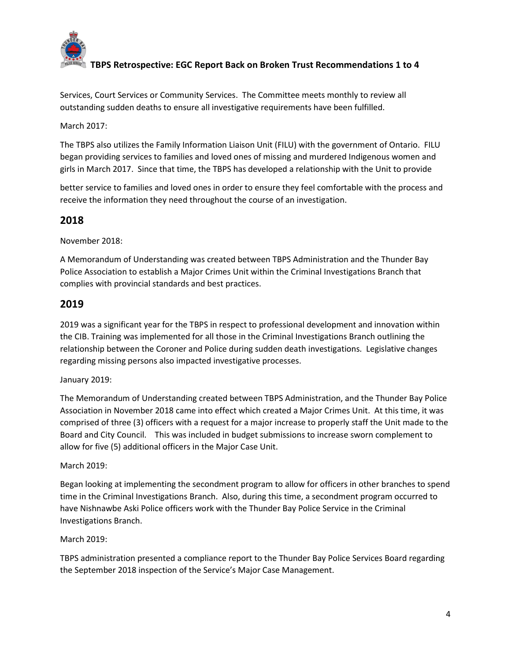

Services, Court Services or Community Services. The Committee meets monthly to review all outstanding sudden deaths to ensure all investigative requirements have been fulfilled.

March 2017:

The TBPS also utilizes the Family Information Liaison Unit (FILU) with the government of Ontario. FILU began providing services to families and loved ones of missing and murdered Indigenous women and girls in March 2017. Since that time, the TBPS has developed a relationship with the Unit to provide

better service to families and loved ones in order to ensure they feel comfortable with the process and receive the information they need throughout the course of an investigation.

# 2018

November 2018:

A Memorandum of Understanding was created between TBPS Administration and the Thunder Bay Police Association to establish a Major Crimes Unit within the Criminal Investigations Branch that complies with provincial standards and best practices.

# 2019

2019 was a significant year for the TBPS in respect to professional development and innovation within the CIB. Training was implemented for all those in the Criminal Investigations Branch outlining the relationship between the Coroner and Police during sudden death investigations. Legislative changes regarding missing persons also impacted investigative processes.

### January 2019:

The Memorandum of Understanding created between TBPS Administration, and the Thunder Bay Police Association in November 2018 came into effect which created a Major Crimes Unit. At this time, it was comprised of three (3) officers with a request for a major increase to properly staff the Unit made to the Board and City Council. This was included in budget submissions to increase sworn complement to allow for five (5) additional officers in the Major Case Unit.

#### March 2019:

Began looking at implementing the secondment program to allow for officers in other branches to spend time in the Criminal Investigations Branch. Also, during this time, a secondment program occurred to have Nishnawbe Aski Police officers work with the Thunder Bay Police Service in the Criminal Investigations Branch.

#### March 2019:

TBPS administration presented a compliance report to the Thunder Bay Police Services Board regarding the September 2018 inspection of the Service's Major Case Management.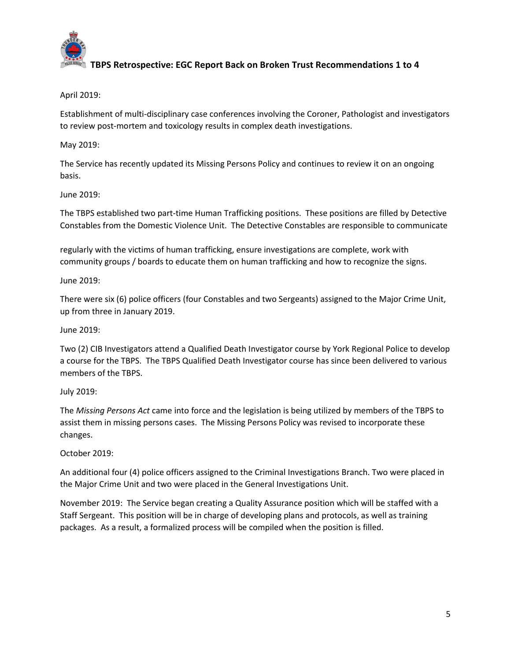

April 2019:

Establishment of multi-disciplinary case conferences involving the Coroner, Pathologist and investigators to review post-mortem and toxicology results in complex death investigations.

May 2019:

The Service has recently updated its Missing Persons Policy and continues to review it on an ongoing basis.

June 2019:

The TBPS established two part-time Human Trafficking positions. These positions are filled by Detective Constables from the Domestic Violence Unit. The Detective Constables are responsible to communicate

regularly with the victims of human trafficking, ensure investigations are complete, work with community groups / boards to educate them on human trafficking and how to recognize the signs.

June 2019:

There were six (6) police officers (four Constables and two Sergeants) assigned to the Major Crime Unit, up from three in January 2019.

June 2019:

Two (2) CIB Investigators attend a Qualified Death Investigator course by York Regional Police to develop a course for the TBPS. The TBPS Qualified Death Investigator course has since been delivered to various members of the TBPS.

July 2019:

The Missing Persons Act came into force and the legislation is being utilized by members of the TBPS to assist them in missing persons cases. The Missing Persons Policy was revised to incorporate these changes.

October 2019:

An additional four (4) police officers assigned to the Criminal Investigations Branch. Two were placed in the Major Crime Unit and two were placed in the General Investigations Unit.

November 2019: The Service began creating a Quality Assurance position which will be staffed with a Staff Sergeant. This position will be in charge of developing plans and protocols, as well as training packages. As a result, a formalized process will be compiled when the position is filled.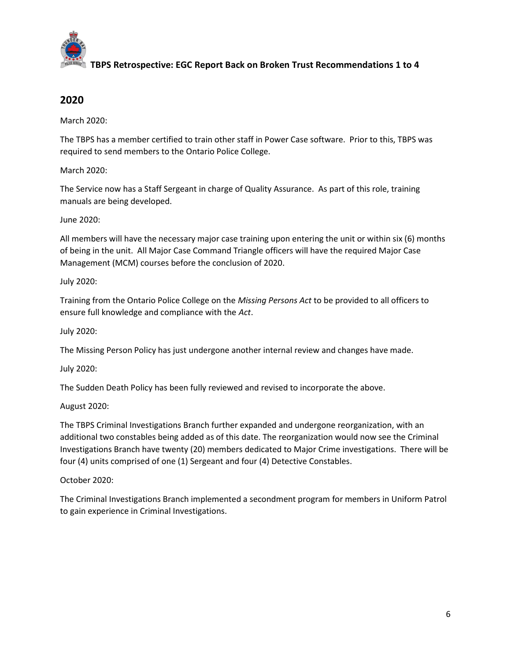

# 2020

March 2020:

The TBPS has a member certified to train other staff in Power Case software. Prior to this, TBPS was required to send members to the Ontario Police College.

March 2020:

The Service now has a Staff Sergeant in charge of Quality Assurance. As part of this role, training manuals are being developed.

June 2020:

All members will have the necessary major case training upon entering the unit or within six (6) months of being in the unit. All Major Case Command Triangle officers will have the required Major Case Management (MCM) courses before the conclusion of 2020.

July 2020:

Training from the Ontario Police College on the Missing Persons Act to be provided to all officers to ensure full knowledge and compliance with the Act.

July 2020:

The Missing Person Policy has just undergone another internal review and changes have made.

July 2020:

The Sudden Death Policy has been fully reviewed and revised to incorporate the above.

August 2020:

The TBPS Criminal Investigations Branch further expanded and undergone reorganization, with an additional two constables being added as of this date. The reorganization would now see the Criminal Investigations Branch have twenty (20) members dedicated to Major Crime investigations. There will be four (4) units comprised of one (1) Sergeant and four (4) Detective Constables.

October 2020:

The Criminal Investigations Branch implemented a secondment program for members in Uniform Patrol to gain experience in Criminal Investigations.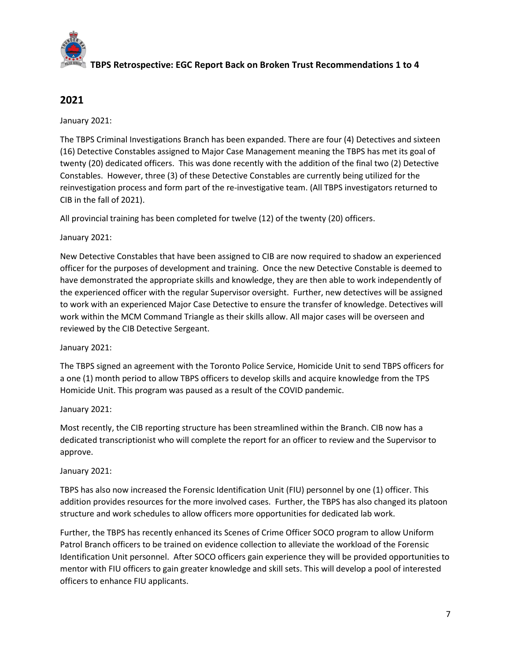

# 2021

January 2021:

The TBPS Criminal Investigations Branch has been expanded. There are four (4) Detectives and sixteen (16) Detective Constables assigned to Major Case Management meaning the TBPS has met its goal of twenty (20) dedicated officers. This was done recently with the addition of the final two (2) Detective Constables. However, three (3) of these Detective Constables are currently being utilized for the reinvestigation process and form part of the re-investigative team. (All TBPS investigators returned to CIB in the fall of 2021).

All provincial training has been completed for twelve (12) of the twenty (20) officers.

January 2021:

New Detective Constables that have been assigned to CIB are now required to shadow an experienced officer for the purposes of development and training. Once the new Detective Constable is deemed to have demonstrated the appropriate skills and knowledge, they are then able to work independently of the experienced officer with the regular Supervisor oversight. Further, new detectives will be assigned to work with an experienced Major Case Detective to ensure the transfer of knowledge. Detectives will work within the MCM Command Triangle as their skills allow. All major cases will be overseen and reviewed by the CIB Detective Sergeant.

January 2021:

The TBPS signed an agreement with the Toronto Police Service, Homicide Unit to send TBPS officers for a one (1) month period to allow TBPS officers to develop skills and acquire knowledge from the TPS Homicide Unit. This program was paused as a result of the COVID pandemic.

January 2021:

Most recently, the CIB reporting structure has been streamlined within the Branch. CIB now has a dedicated transcriptionist who will complete the report for an officer to review and the Supervisor to approve.

January 2021:

TBPS has also now increased the Forensic Identification Unit (FIU) personnel by one (1) officer. This addition provides resources for the more involved cases. Further, the TBPS has also changed its platoon structure and work schedules to allow officers more opportunities for dedicated lab work.

Further, the TBPS has recently enhanced its Scenes of Crime Officer SOCO program to allow Uniform Patrol Branch officers to be trained on evidence collection to alleviate the workload of the Forensic Identification Unit personnel. After SOCO officers gain experience they will be provided opportunities to mentor with FIU officers to gain greater knowledge and skill sets. This will develop a pool of interested officers to enhance FIU applicants.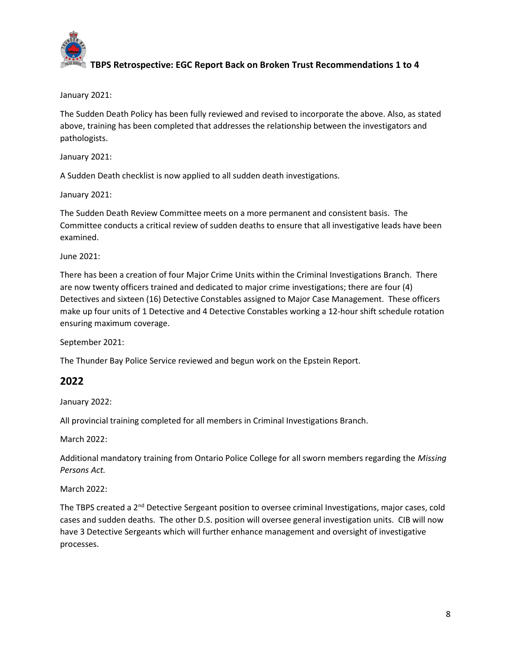

January 2021:

The Sudden Death Policy has been fully reviewed and revised to incorporate the above. Also, as stated above, training has been completed that addresses the relationship between the investigators and pathologists.

January 2021:

A Sudden Death checklist is now applied to all sudden death investigations.

January 2021:

The Sudden Death Review Committee meets on a more permanent and consistent basis. The Committee conducts a critical review of sudden deaths to ensure that all investigative leads have been examined.

June 2021:

There has been a creation of four Major Crime Units within the Criminal Investigations Branch. There are now twenty officers trained and dedicated to major crime investigations; there are four (4) Detectives and sixteen (16) Detective Constables assigned to Major Case Management. These officers make up four units of 1 Detective and 4 Detective Constables working a 12-hour shift schedule rotation ensuring maximum coverage.

September 2021:

The Thunder Bay Police Service reviewed and begun work on the Epstein Report.

## 2022

January 2022:

All provincial training completed for all members in Criminal Investigations Branch.

March 2022:

Additional mandatory training from Ontario Police College for all sworn members regarding the Missing Persons Act.

March 2022:

The TBPS created a 2<sup>nd</sup> Detective Sergeant position to oversee criminal Investigations, major cases, cold cases and sudden deaths. The other D.S. position will oversee general investigation units. CIB will now have 3 Detective Sergeants which will further enhance management and oversight of investigative processes.